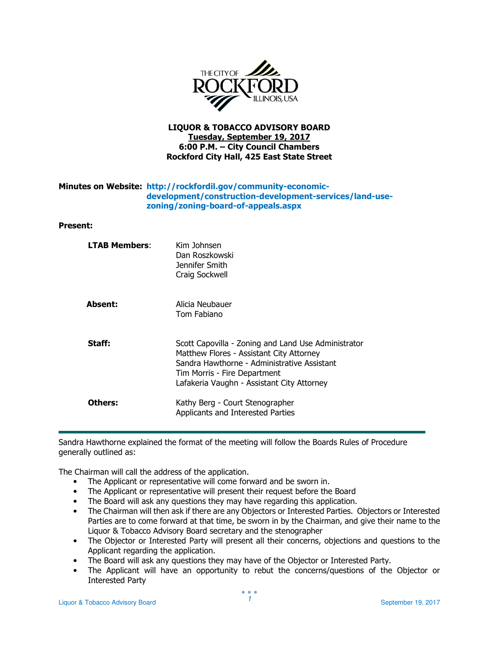

# LIQUOR & TOBACCO ADVISORY BOARD Tuesday, September 19, 2017 6:00 P.M. – City Council Chambers Rockford City Hall, 425 East State Street

# Minutes on Website: http://rockfordil.gov/community-economicdevelopment/construction-development-services/land-usezoning/zoning-board-of-appeals.aspx

### Present:

| <b>LTAB Members:</b> | Kim Johnsen<br>Dan Roszkowski<br>Jennifer Smith<br>Craig Sockwell                                                                                                                                                            |
|----------------------|------------------------------------------------------------------------------------------------------------------------------------------------------------------------------------------------------------------------------|
| <b>Absent:</b>       | Alicia Neubauer<br>Tom Fabiano                                                                                                                                                                                               |
| Staff:               | Scott Capovilla - Zoning and Land Use Administrator<br>Matthew Flores - Assistant City Attorney<br>Sandra Hawthorne - Administrative Assistant<br>Tim Morris - Fire Department<br>Lafakeria Vaughn - Assistant City Attorney |
| Others:              | Kathy Berg - Court Stenographer<br>Applicants and Interested Parties                                                                                                                                                         |

Sandra Hawthorne explained the format of the meeting will follow the Boards Rules of Procedure generally outlined as:

The Chairman will call the address of the application.

- The Applicant or representative will come forward and be sworn in.
- The Applicant or representative will present their request before the Board
- The Board will ask any questions they may have regarding this application.
- The Chairman will then ask if there are any Objectors or Interested Parties. Objectors or Interested Parties are to come forward at that time, be sworn in by the Chairman, and give their name to the Liquor & Tobacco Advisory Board secretary and the stenographer
- The Objector or Interested Party will present all their concerns, objections and questions to the Applicant regarding the application.
- The Board will ask any questions they may have of the Objector or Interested Party.
- The Applicant will have an opportunity to rebut the concerns/questions of the Objector or Interested Party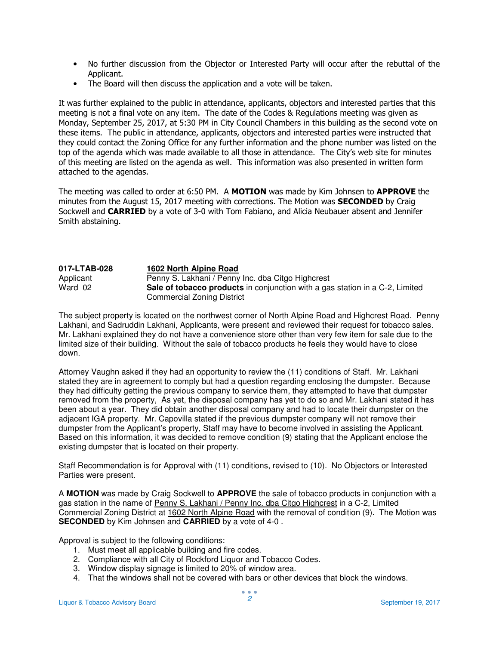- No further discussion from the Objector or Interested Party will occur after the rebuttal of the Applicant.
- The Board will then discuss the application and a vote will be taken.

It was further explained to the public in attendance, applicants, objectors and interested parties that this meeting is not a final vote on any item. The date of the Codes & Regulations meeting was given as Monday, September 25, 2017, at 5:30 PM in City Council Chambers in this building as the second vote on these items. The public in attendance, applicants, objectors and interested parties were instructed that they could contact the Zoning Office for any further information and the phone number was listed on the top of the agenda which was made available to all those in attendance. The City's web site for minutes of this meeting are listed on the agenda as well. This information was also presented in written form attached to the agendas.

The meeting was called to order at 6:50 PM. A MOTION was made by Kim Johnsen to APPROVE the minutes from the August 15, 2017 meeting with corrections. The Motion was **SECONDED** by Craig Sockwell and CARRIED by a vote of 3-0 with Tom Fabiano, and Alicia Neubauer absent and Jennifer Smith abstaining.

| 017-LTAB-028 | 1602 North Alpine Road                                                              |
|--------------|-------------------------------------------------------------------------------------|
| Applicant    | Penny S. Lakhani / Penny Inc. dba Citgo Highcrest                                   |
| Ward 02      | <b>Sale of tobacco products</b> in conjunction with a gas station in a C-2, Limited |
|              | <b>Commercial Zoning District</b>                                                   |

The subject property is located on the northwest corner of North Alpine Road and Highcrest Road. Penny Lakhani, and Sadruddin Lakhani, Applicants, were present and reviewed their request for tobacco sales. Mr. Lakhani explained they do not have a convenience store other than very few item for sale due to the limited size of their building. Without the sale of tobacco products he feels they would have to close down.

Attorney Vaughn asked if they had an opportunity to review the (11) conditions of Staff. Mr. Lakhani stated they are in agreement to comply but had a question regarding enclosing the dumpster. Because they had difficulty getting the previous company to service them, they attempted to have that dumpster removed from the property, As yet, the disposal company has yet to do so and Mr. Lakhani stated it has been about a year. They did obtain another disposal company and had to locate their dumpster on the adjacent IGA property. Mr. Capovilla stated if the previous dumpster company will not remove their dumpster from the Applicant's property, Staff may have to become involved in assisting the Applicant. Based on this information, it was decided to remove condition (9) stating that the Applicant enclose the existing dumpster that is located on their property.

Staff Recommendation is for Approval with (11) conditions, revised to (10). No Objectors or Interested Parties were present.

A **MOTION** was made by Craig Sockwell to **APPROVE** the sale of tobacco products in conjunction with a gas station in the name of Penny S. Lakhani / Penny Inc. dba Citgo Highcrest in a C-2, Limited Commercial Zoning District at 1602 North Alpine Road with the removal of condition (9). The Motion was **SECONDED** by Kim Johnsen and **CARRIED** by a vote of 4-0 .

Approval is subject to the following conditions:

- 1. Must meet all applicable building and fire codes.
- 2. Compliance with all City of Rockford Liquor and Tobacco Codes.
- 3. Window display signage is limited to 20% of window area.
- 4. That the windows shall not be covered with bars or other devices that block the windows.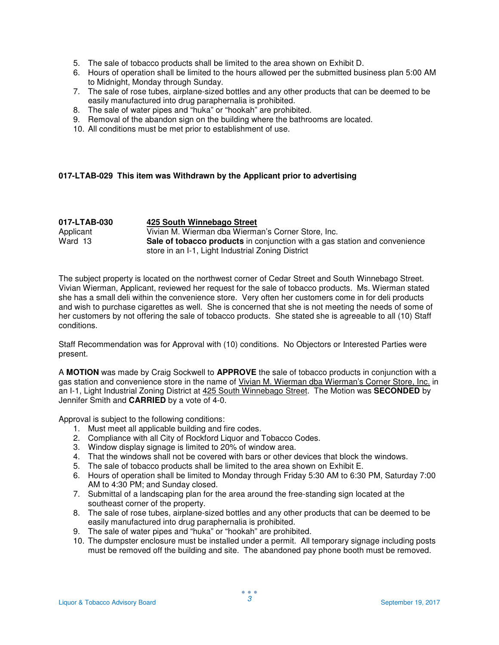- 5. The sale of tobacco products shall be limited to the area shown on Exhibit D.
- 6. Hours of operation shall be limited to the hours allowed per the submitted business plan 5:00 AM to Midnight, Monday through Sunday.
- 7. The sale of rose tubes, airplane-sized bottles and any other products that can be deemed to be easily manufactured into drug paraphernalia is prohibited.
- 8. The sale of water pipes and "huka" or "hookah" are prohibited.
- 9. Removal of the abandon sign on the building where the bathrooms are located.
- 10. All conditions must be met prior to establishment of use.

## **017-LTAB-029 This item was Withdrawn by the Applicant prior to advertising**

| 017-LTAB-030 | 425 South Winnebago Street                                                 |
|--------------|----------------------------------------------------------------------------|
| Applicant    | Vivian M. Wierman dba Wierman's Corner Store, Inc.                         |
| Ward 13      | Sale of tobacco products in conjunction with a gas station and convenience |
|              | store in an I-1, Light Industrial Zoning District                          |

The subject property is located on the northwest corner of Cedar Street and South Winnebago Street. Vivian Wierman, Applicant, reviewed her request for the sale of tobacco products. Ms. Wierman stated she has a small deli within the convenience store. Very often her customers come in for deli products and wish to purchase cigarettes as well. She is concerned that she is not meeting the needs of some of her customers by not offering the sale of tobacco products. She stated she is agreeable to all (10) Staff conditions.

Staff Recommendation was for Approval with (10) conditions. No Objectors or Interested Parties were present.

A **MOTION** was made by Craig Sockwell to **APPROVE** the sale of tobacco products in conjunction with a gas station and convenience store in the name of Vivian M. Wierman dba Wierman's Corner Store, Inc. in an I-1, Light Industrial Zoning District at 425 South Winnebago Street. The Motion was **SECONDED** by Jennifer Smith and **CARRIED** by a vote of 4-0.

Approval is subject to the following conditions:

- 1. Must meet all applicable building and fire codes.
- 2. Compliance with all City of Rockford Liquor and Tobacco Codes.
- 3. Window display signage is limited to 20% of window area.
- 4. That the windows shall not be covered with bars or other devices that block the windows.
- 5. The sale of tobacco products shall be limited to the area shown on Exhibit E.
- 6. Hours of operation shall be limited to Monday through Friday 5:30 AM to 6:30 PM, Saturday 7:00 AM to 4:30 PM; and Sunday closed.
- 7. Submittal of a landscaping plan for the area around the free-standing sign located at the southeast corner of the property.
- 8. The sale of rose tubes, airplane-sized bottles and any other products that can be deemed to be easily manufactured into drug paraphernalia is prohibited.
- 9. The sale of water pipes and "huka" or "hookah" are prohibited.
- 10. The dumpster enclosure must be installed under a permit. All temporary signage including posts must be removed off the building and site. The abandoned pay phone booth must be removed.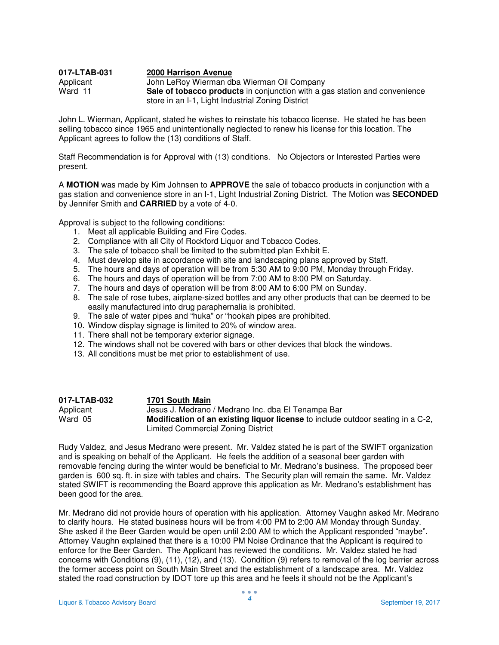#### **017-LTAB-031 2000 Harrison Avenue** Applicant John LeRoy Wierman dba Wierman Oil Company<br>Ward 11 **Sale of tobacco products** in conjunction with a g Sale of tobacco products in conjunction with a gas station and convenience store in an I-1, Light Industrial Zoning District

John L. Wierman, Applicant, stated he wishes to reinstate his tobacco license. He stated he has been selling tobacco since 1965 and unintentionally neglected to renew his license for this location. The Applicant agrees to follow the (13) conditions of Staff.

Staff Recommendation is for Approval with (13) conditions. No Objectors or Interested Parties were present.

A **MOTION** was made by Kim Johnsen to **APPROVE** the sale of tobacco products in conjunction with a gas station and convenience store in an I-1, Light Industrial Zoning District. The Motion was **SECONDED**  by Jennifer Smith and **CARRIED** by a vote of 4-0.

Approval is subject to the following conditions:

- 1. Meet all applicable Building and Fire Codes.
- 2. Compliance with all City of Rockford Liquor and Tobacco Codes.
- 3. The sale of tobacco shall be limited to the submitted plan Exhibit E.
- 4. Must develop site in accordance with site and landscaping plans approved by Staff.
- 5. The hours and days of operation will be from 5:30 AM to 9:00 PM, Monday through Friday.
- 6. The hours and days of operation will be from 7:00 AM to 8:00 PM on Saturday.
- 7. The hours and days of operation will be from 8:00 AM to 6:00 PM on Sunday.
- 8. The sale of rose tubes, airplane-sized bottles and any other products that can be deemed to be easily manufactured into drug paraphernalia is prohibited.
- 9. The sale of water pipes and "huka" or "hookah pipes are prohibited.
- 10. Window display signage is limited to 20% of window area.
- 11. There shall not be temporary exterior signage.
- 12. The windows shall not be covered with bars or other devices that block the windows.
- 13. All conditions must be met prior to establishment of use.

| 017-LTAB-032 | 1701 South Main                                                                        |
|--------------|----------------------------------------------------------------------------------------|
| Applicant    | Jesus J. Medrano / Medrano Inc. dba El Tenampa Bar                                     |
| Ward 05      | <b>Modification of an existing liquor license</b> to include outdoor seating in a C-2, |
|              | Limited Commercial Zoning District                                                     |

Rudy Valdez, and Jesus Medrano were present. Mr. Valdez stated he is part of the SWIFT organization and is speaking on behalf of the Applicant. He feels the addition of a seasonal beer garden with removable fencing during the winter would be beneficial to Mr. Medrano's business. The proposed beer garden is 600 sq. ft. in size with tables and chairs. The Security plan will remain the same. Mr. Valdez stated SWIFT is recommending the Board approve this application as Mr. Medrano's establishment has been good for the area.

Mr. Medrano did not provide hours of operation with his application. Attorney Vaughn asked Mr. Medrano to clarify hours. He stated business hours will be from 4:00 PM to 2:00 AM Monday through Sunday. She asked if the Beer Garden would be open until 2:00 AM to which the Applicant responded "maybe". Attorney Vaughn explained that there is a 10:00 PM Noise Ordinance that the Applicant is required to enforce for the Beer Garden. The Applicant has reviewed the conditions. Mr. Valdez stated he had concerns with Conditions (9), (11), (12), and (13). Condition (9) refers to removal of the log barrier across the former access point on South Main Street and the establishment of a landscape area. Mr. Valdez stated the road construction by IDOT tore up this area and he feels it should not be the Applicant's